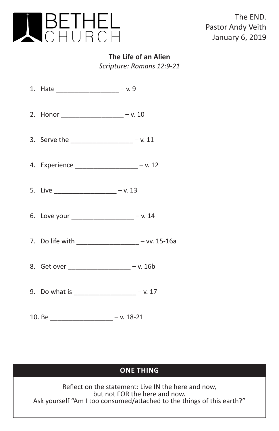

**The Life of an Alien** *Scripture: Romans 12:9-21*

| 1. Hate ____________________ - v. 9              |  |
|--------------------------------------------------|--|
| 2. Honor _____________________ - v. 10           |  |
| 3. Serve the _________________ - v. 11           |  |
| 4. Experience _________________ - v. 12          |  |
| 5. Live ___________________ - v. 13              |  |
| 6. Love your __________________ - v. 14          |  |
| 7. Do life with ___________________ - vv. 15-16a |  |
| 8. Get over ____________________ - v. 16b        |  |
| 9. Do what is ____________________ - v. 17       |  |
|                                                  |  |

## **ONE THING**

Reflect on the statement: Live IN the here and now, but not FOR the here and now. Ask yourself "Am I too consumed/attached to the things of this earth?"